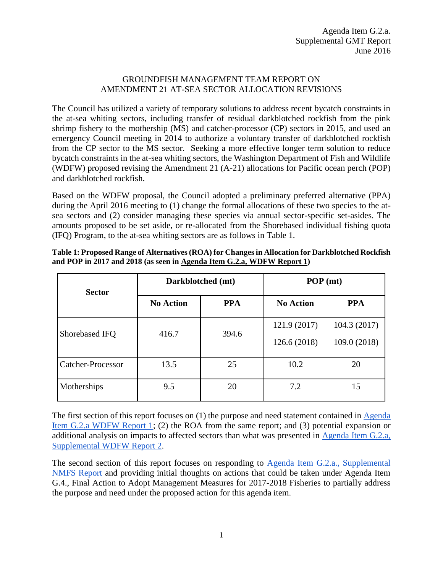#### GROUNDFISH MANAGEMENT TEAM REPORT ON AMENDMENT 21 AT-SEA SECTOR ALLOCATION REVISIONS

The Council has utilized a variety of temporary solutions to address recent bycatch constraints in the at-sea whiting sectors, including transfer of residual darkblotched rockfish from the pink shrimp fishery to the mothership (MS) and catcher-processor (CP) sectors in 2015, and used an emergency Council meeting in 2014 to authorize a voluntary transfer of darkblotched rockfish from the CP sector to the MS sector. Seeking a more effective longer term solution to reduce bycatch constraints in the at-sea whiting sectors, the Washington Department of Fish and Wildlife (WDFW) proposed revising the Amendment 21 (A-21) allocations for Pacific ocean perch (POP) and darkblotched rockfish.

Based on the WDFW proposal, the Council adopted a preliminary preferred alternative (PPA) during the April 2016 meeting to (1) change the formal allocations of these two species to the atsea sectors and (2) consider managing these species via annual sector-specific set-asides. The amounts proposed to be set aside, or re-allocated from the Shorebased individual fishing quota (IFQ) Program, to the at-sea whiting sectors are as follows in [Table 1.](#page-0-0)

| <b>Sector</b>     |                  | Darkblotched (mt) | POP (mt)         |              |  |
|-------------------|------------------|-------------------|------------------|--------------|--|
|                   | <b>No Action</b> | <b>PPA</b>        | <b>No Action</b> | <b>PPA</b>   |  |
| Shorebased IFQ    | 416.7            | 394.6             | 121.9 (2017)     | 104.3(2017)  |  |
|                   |                  |                   | 126.6 (2018)     | 109.0 (2018) |  |
| Catcher-Processor | 13.5             | 25                | 10.2             | 20           |  |
| Motherships       | 9.5              | 20                | 7.2              | 15           |  |

<span id="page-0-0"></span>**Table 1: Proposed Range of Alternatives (ROA) for Changes in Allocation for Darkblotched Rockfish and POP in 2017 and 2018 (as seen in [Agenda Item G.2.a, WDFW Report 1\)](http://www.pcouncil.org/wp-content/uploads/2016/06/G2a_WDFW_Rpt1_AM21_JUN2016BB.pdf)**

The first section of this report focuses on (1) the purpose and need statement contained in [Agenda](http://www.pcouncil.org/wp-content/uploads/2016/06/G2a_WDFW_Rpt1_AM21_JUN2016BB.pdf)  [Item G.2.a WDFW Report 1;](http://www.pcouncil.org/wp-content/uploads/2016/06/G2a_WDFW_Rpt1_AM21_JUN2016BB.pdf) (2) the ROA from the same report; and (3) potential expansion or additional analysis on impacts to affected sectors than what was presented in [Agenda Item G.2.a,](http://www.pcouncil.org/wp-content/uploads/2016/06/G2a_Sup_WDFW_Rpt2_AnalysisAltsRevAM21_JUN2016BB.pdf)  [Supplemental WDFW](http://www.pcouncil.org/wp-content/uploads/2016/06/G2a_Sup_WDFW_Rpt2_AnalysisAltsRevAM21_JUN2016BB.pdf) Report 2.

The second section of this report focuses on responding to [Agenda Item G.2.a., Supplemental](http://www.pcouncil.org/wp-content/uploads/2016/06/G2a_Sup_NMFS_Rpt_A21_Changes_JUN2016BB.pdf)  [NMFS Report](http://www.pcouncil.org/wp-content/uploads/2016/06/G2a_Sup_NMFS_Rpt_A21_Changes_JUN2016BB.pdf) and providing initial thoughts on actions that could be taken under Agenda Item G.4., Final Action to Adopt Management Measures for 2017-2018 Fisheries to partially address the purpose and need under the proposed action for this agenda item.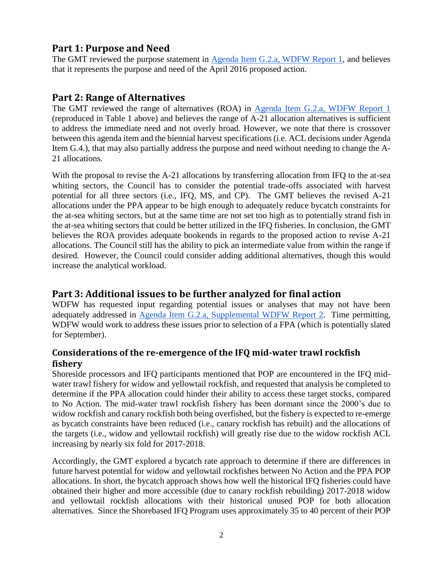## **Part 1: Purpose and Need**

The GMT reviewed the purpose statement in [Agenda Item G.2.a,](http://www.pcouncil.org/wp-content/uploads/2016/06/G2a_WDFW_Rpt1_AM21_JUN2016BB.pdf) WDFW Report 1, and believes that it represents the purpose and need of the April 2016 proposed action.

## **Part 2: Range of Alternatives**

The GMT reviewed the range of alternatives (ROA) in [Agenda Item G.2.a, WDFW Report 1](http://www.pcouncil.org/wp-content/uploads/2016/06/G2a_WDFW_Rpt1_AM21_JUN2016BB.pdf) (reproduced in [Table 1](#page-0-0) above) and believes the range of A-21 allocation alternatives is sufficient to address the immediate need and not overly broad. However, we note that there is crossover between this agenda item and the biennial harvest specifications (i.e. ACL decisions under Agenda Item G.4.), that may also partially address the purpose and need without needing to change the A-21 allocations.

With the proposal to revise the A-21 allocations by transferring allocation from IFQ to the at-sea whiting sectors, the Council has to consider the potential trade-offs associated with harvest potential for all three sectors (i.e., IFQ, MS, and CP). The GMT believes the revised A-21 allocations under the PPA appear to be high enough to adequately reduce bycatch constraints for the at-sea whiting sectors, but at the same time are not set too high as to potentially strand fish in the at-sea whiting sectors that could be better utilized in the IFQ fisheries. In conclusion, the GMT believes the ROA provides adequate bookends in regards to the proposed action to revise A-21 allocations. The Council still has the ability to pick an intermediate value from within the range if desired. However, the Council could consider adding additional alternatives, though this would increase the analytical workload.

# **Part 3: Additional issues to be further analyzed for final action**

WDFW has requested input regarding potential issues or analyses that may not have been adequately addressed in [Agenda Item G.2.a, Supplemental WDFW Report 2.](http://www.pcouncil.org/wp-content/uploads/2016/06/G2a_Sup_WDFW_Rpt2_AnalysisAltsRevAM21_JUN2016BB.pdf) Time permitting, WDFW would work to address these issues prior to selection of a FPA (which is potentially slated for September).

### **Considerations of the re-emergence of the IFQ mid-water trawl rockfish fishery**

Shoreside processors and IFQ participants mentioned that POP are encountered in the IFQ midwater trawl fishery for widow and yellowtail rockfish, and requested that analysis be completed to determine if the PPA allocation could hinder their ability to access these target stocks, compared to No Action. The mid-water trawl rockfish fishery has been dormant since the 2000's due to widow rockfish and canary rockfish both being overfished, but the fishery is expected to re-emerge as bycatch constraints have been reduced (i.e., canary rockfish has rebuilt) and the allocations of the targets (i.e., widow and yellowtail rockfish) will greatly rise due to the widow rockfish ACL increasing by nearly six fold for 2017-2018.

Accordingly, the GMT explored a bycatch rate approach to determine if there are differences in future harvest potential for widow and yellowtail rockfishes between No Action and the PPA POP allocations. In short, the bycatch approach shows how well the historical IFQ fisheries could have obtained their higher and more accessible (due to canary rockfish rebuilding) 2017-2018 widow and yellowtail rockfish allocations with their historical unused POP for both allocation alternatives. Since the Shorebased IFQ Program uses approximately 35 to 40 percent of their POP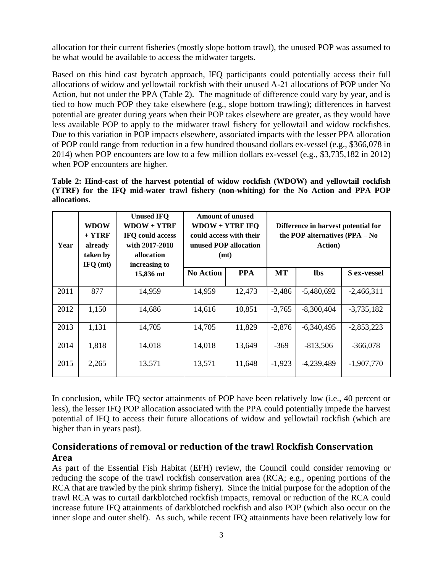allocation for their current fisheries (mostly slope bottom trawl), the unused POP was assumed to be what would be available to access the midwater targets.

Based on this hind cast bycatch approach, IFQ participants could potentially access their full allocations of widow and yellowtail rockfish with their unused A-21 allocations of POP under No Action, but not under the PPA [\(Table 2\)](#page-2-0). The magnitude of difference could vary by year, and is tied to how much POP they take elsewhere (e.g., slope bottom trawling); differences in harvest potential are greater during years when their POP takes elsewhere are greater, as they would have less available POP to apply to the midwater trawl fishery for yellowtail and widow rockfishes. Due to this variation in POP impacts elsewhere, associated impacts with the lesser PPA allocation of POP could range from reduction in a few hundred thousand dollars ex-vessel (e.g., \$366,078 in 2014) when POP encounters are low to a few million dollars ex-vessel (e.g., \$3,735,182 in 2012) when POP encounters are higher.

<span id="page-2-0"></span>**Table 2: Hind-cast of the harvest potential of widow rockfish (WDOW) and yellowtail rockfish (YTRF) for the IFQ mid-water trawl fishery (non-whiting) for the No Action and PPA POP allocations.**

| WDOW<br>$+$ YTRF<br>Year<br>already<br>taken by<br>IFQ (mt) |       | <b>Unused IFO</b><br>$WDOW + YTRF$<br>IFO could access<br>with 2017-2018<br>allocation<br>increasing to | <b>Amount of unused</b><br>$WDOW + YTRF$ IFQ<br>could access with their<br>unused POP allocation<br>(mt) |            | Difference in harvest potential for<br>the POP alternatives (PPA - No<br><b>Action</b> ) |              |              |
|-------------------------------------------------------------|-------|---------------------------------------------------------------------------------------------------------|----------------------------------------------------------------------------------------------------------|------------|------------------------------------------------------------------------------------------|--------------|--------------|
|                                                             |       | 15,836 mt                                                                                               | <b>No Action</b>                                                                                         | <b>PPA</b> | <b>MT</b>                                                                                | <b>lbs</b>   | \$ ex-vessel |
| 2011                                                        | 877   | 14,959                                                                                                  | 14,959                                                                                                   | 12,473     | $-2,486$                                                                                 | $-5,480,692$ | $-2,466,311$ |
| 2012                                                        | 1,150 | 14,686                                                                                                  | 14,616                                                                                                   | 10,851     | $-3,765$                                                                                 | $-8,300,404$ | $-3,735,182$ |
| 2013                                                        | 1,131 | 14,705                                                                                                  | 14,705                                                                                                   | 11,829     | $-2,876$                                                                                 | $-6,340,495$ | $-2,853,223$ |
| 2014                                                        | 1,818 | 14,018                                                                                                  | 14,018                                                                                                   | 13,649     | $-369$                                                                                   | $-813,506$   | $-366,078$   |
| 2015                                                        | 2,265 | 13,571                                                                                                  | 13,571                                                                                                   | 11,648     | $-1,923$                                                                                 | $-4,239,489$ | $-1,907,770$ |

In conclusion, while IFQ sector attainments of POP have been relatively low (i.e., 40 percent or less), the lesser IFQ POP allocation associated with the PPA could potentially impede the harvest potential of IFQ to access their future allocations of widow and yellowtail rockfish (which are higher than in years past).

### **Considerations of removal or reduction of the trawl Rockfish Conservation Area**

As part of the Essential Fish Habitat (EFH) review, the Council could consider removing or reducing the scope of the trawl rockfish conservation area (RCA; e.g., opening portions of the RCA that are trawled by the pink shrimp fishery). Since the initial purpose for the adoption of the trawl RCA was to curtail darkblotched rockfish impacts, removal or reduction of the RCA could increase future IFQ attainments of darkblotched rockfish and also POP (which also occur on the inner slope and outer shelf). As such, while recent IFQ attainments have been relatively low for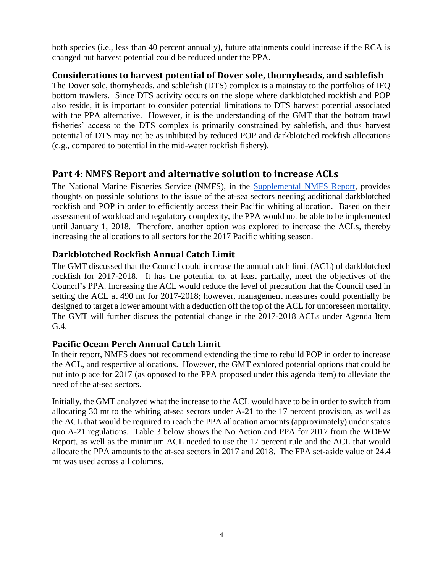both species (i.e., less than 40 percent annually), future attainments could increase if the RCA is changed but harvest potential could be reduced under the PPA.

#### **Considerations to harvest potential of Dover sole, thornyheads, and sablefish**

The Dover sole, thornyheads, and sablefish (DTS) complex is a mainstay to the portfolios of IFQ bottom trawlers. Since DTS activity occurs on the slope where darkblotched rockfish and POP also reside, it is important to consider potential limitations to DTS harvest potential associated with the PPA alternative. However, it is the understanding of the GMT that the bottom trawl fisheries' access to the DTS complex is primarily constrained by sablefish, and thus harvest potential of DTS may not be as inhibited by reduced POP and darkblotched rockfish allocations (e.g., compared to potential in the mid-water rockfish fishery).

# **Part 4: NMFS Report and alternative solution to increase ACLs**

The National Marine Fisheries Service (NMFS), in the **Supplemental NMFS Report**, provides thoughts on possible solutions to the issue of the at-sea sectors needing additional darkblotched rockfish and POP in order to efficiently access their Pacific whiting allocation. Based on their assessment of workload and regulatory complexity, the PPA would not be able to be implemented until January 1, 2018. Therefore, another option was explored to increase the ACLs, thereby increasing the allocations to all sectors for the 2017 Pacific whiting season.

### **Darkblotched Rockfish Annual Catch Limit**

The GMT discussed that the Council could increase the annual catch limit (ACL) of darkblotched rockfish for 2017-2018. It has the potential to, at least partially, meet the objectives of the Council's PPA. Increasing the ACL would reduce the level of precaution that the Council used in setting the ACL at 490 mt for 2017-2018; however, management measures could potentially be designed to target a lower amount with a deduction off the top of the ACL for unforeseen mortality. The GMT will further discuss the potential change in the 2017-2018 ACLs under Agenda Item G.4.

### **Pacific Ocean Perch Annual Catch Limit**

In their report, NMFS does not recommend extending the time to rebuild POP in order to increase the ACL, and respective allocations. However, the GMT explored potential options that could be put into place for 2017 (as opposed to the PPA proposed under this agenda item) to alleviate the need of the at-sea sectors.

Initially, the GMT analyzed what the increase to the ACL would have to be in order to switch from allocating 30 mt to the whiting at-sea sectors under A-21 to the 17 percent provision, as well as the ACL that would be required to reach the PPA allocation amounts (approximately) under status quo A-21 regulations. [Table 3](#page-4-0) below shows the No Action and PPA for 2017 from the WDFW Report, as well as the minimum ACL needed to use the 17 percent rule and the ACL that would allocate the PPA amounts to the at-sea sectors in 2017 and 2018. The FPA set-aside value of 24.4 mt was used across all columns.